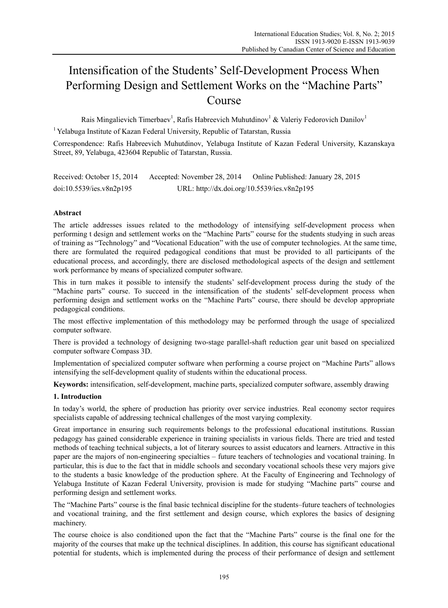# Intensification of the Students' Self-Development Process When Performing Design and Settlement Works on the "Machine Parts" Course

Rais Mingalievich Timerbaev<sup>1</sup>, Rafis Habreevich Muhutdinov<sup>1</sup> & Valeriy Fedorovich Danilov<sup>1</sup>

1 Yelabuga Institute of Kazan Federal University, Republic of Tatarstan, Russia

Correspondence: Rafis Habreevich Muhutdinov, Yelabuga Institute of Kazan Federal University, Kazanskaya Street, 89, Yelabuga, 423604 Republic of Tatarstan, Russia.

Received: October 15, 2014 Accepted: November 28, 2014 Online Published: January 28, 2015 doi:10.5539/ies.v8n2p195 URL: http://dx.doi.org/10.5539/ies.v8n2p195

## **Abstract**

The article addresses issues related to the methodology of intensifying self-development process when performing t design and settlement works on the "Machine Parts" course for the students studying in such areas of training as "Technology" and "Vocational Education" with the use of computer technologies. At the same time, there are formulated the required pedagogical conditions that must be provided to all participants of the educational process, and accordingly, there are disclosed methodological aspects of the design and settlement work performance by means of specialized computer software.

This in turn makes it possible to intensify the students' self-development process during the study of the "Machine parts" course. To succeed in the intensification of the students' self-development process when performing design and settlement works on the "Machine Parts" course, there should be develop appropriate pedagogical conditions.

The most effective implementation of this methodology may be performed through the usage of specialized computer software.

There is provided a technology of designing two-stage parallel-shaft reduction gear unit based on specialized computer software Compass 3D.

Implementation of specialized computer software when performing a course project on "Machine Parts" allows intensifying the self-development quality of students within the educational process.

**Keywords:** intensification, self-development, machine parts, specialized computer software, assembly drawing

### **1. Introduction**

In today's world, the sphere of production has priority over service industries. Real economy sector requires specialists capable of addressing technical challenges of the most varying complexity.

Great importance in ensuring such requirements belongs to the professional educational institutions. Russian pedagogy has gained considerable experience in training specialists in various fields. There are tried and tested methods of teaching technical subjects, a lot of literary sources to assist educators and learners. Attractive in this paper are the majors of non-engineering specialties – future teachers of technologies and vocational training. In particular, this is due to the fact that in middle schools and secondary vocational schools these very majors give to the students a basic knowledge of the production sphere. At the Faculty of Engineering and Technology of Yelabuga Institute of Kazan Federal University, provision is made for studying "Machine parts" course and performing design and settlement works.

The "Machine Parts" course is the final basic technical discipline for the students–future teachers of technologies and vocational training, and the first settlement and design course, which explores the basics of designing machinery.

The course choice is also conditioned upon the fact that the "Machine Parts" course is the final one for the majority of the courses that make up the technical disciplines. In addition, this course has significant educational potential for students, which is implemented during the process of their performance of design and settlement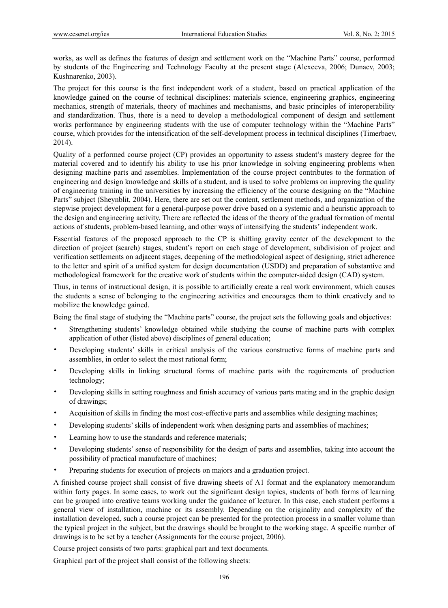works, as well as defines the features of design and settlement work on the "Machine Parts" course, performed by students of the Engineering and Technology Faculty at the present stage (Alexeeva, 2006; Dunaev, 2003; Kushnarenko, 2003).

The project for this course is the first independent work of a student, based on practical application of the knowledge gained on the course of technical disciplines: materials science, engineering graphics, engineering mechanics, strength of materials, theory of machines and mechanisms, and basic principles of interoperability and standardization. Thus, there is a need to develop a methodological component of design and settlement works performance by engineering students with the use of computer technology within the "Machine Parts" course, which provides for the intensification of the self-development process in technical disciplines (Timerbaev, 2014).

Quality of a performed course project (CP) provides an opportunity to assess student's mastery degree for the material covered and to identify his ability to use his prior knowledge in solving engineering problems when designing machine parts and assemblies. Implementation of the course project contributes to the formation of engineering and design knowledge and skills of a student, and is used to solve problems on improving the quality of engineering training in the universities by increasing the efficiency of the course designing on the "Machine Parts" subject (Sheynblit, 2004). Here, there are set out the content, settlement methods, and organization of the stepwise project development for a general-purpose power drive based on a systemic and a heuristic approach to the design and engineering activity. There are reflected the ideas of the theory of the gradual formation of mental actions of students, problem-based learning, and other ways of intensifying the students' independent work.

Essential features of the proposed approach to the CP is shifting gravity center of the development to the direction of project (search) stages, student's report on each stage of development, subdivision of project and verification settlements on adjacent stages, deepening of the methodological aspect of designing, strict adherence to the letter and spirit of a unified system for design documentation (USDD) and preparation of substantive and methodological framework for the creative work of students within the computer-aided design (CAD) system.

Thus, in terms of instructional design, it is possible to artificially create a real work environment, which causes the students a sense of belonging to the engineering activities and encourages them to think creatively and to mobilize the knowledge gained.

Being the final stage of studying the "Machine parts" course, the project sets the following goals and objectives:

- Strengthening students' knowledge obtained while studying the course of machine parts with complex application of other (listed above) disciplines of general education;
- Developing students' skills in critical analysis of the various constructive forms of machine parts and assemblies, in order to select the most rational form;
- Developing skills in linking structural forms of machine parts with the requirements of production technology;
- Developing skills in setting roughness and finish accuracy of various parts mating and in the graphic design of drawings;
- Acquisition of skills in finding the most cost-effective parts and assemblies while designing machines;
- Developing students' skills of independent work when designing parts and assemblies of machines;
- Learning how to use the standards and reference materials;
- Developing students' sense of responsibility for the design of parts and assemblies, taking into account the possibility of practical manufacture of machines;
- Preparing students for execution of projects on majors and a graduation project.

A finished course project shall consist of five drawing sheets of A1 format and the explanatory memorandum within forty pages. In some cases, to work out the significant design topics, students of both forms of learning can be grouped into creative teams working under the guidance of lecturer. In this case, each student performs a general view of installation, machine or its assembly. Depending on the originality and complexity of the installation developed, such a course project can be presented for the protection process in a smaller volume than the typical project in the subject, but the drawings should be brought to the working stage. A specific number of drawings is to be set by a teacher (Assignments for the course project, 2006).

Course project consists of two parts: graphical part and text documents.

Graphical part of the project shall consist of the following sheets: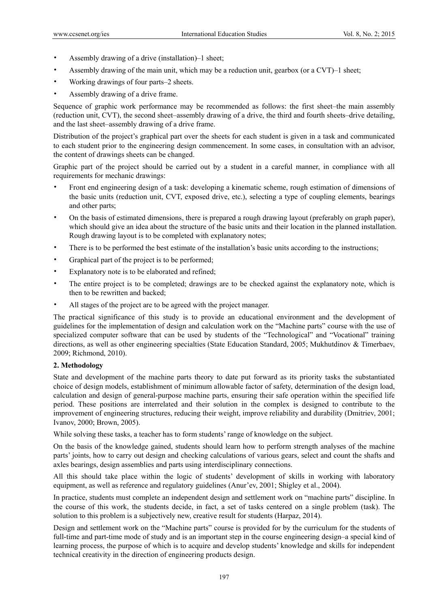- Assembly drawing of a drive (installation)–1 sheet;
- Assembly drawing of the main unit, which may be a reduction unit, gearbox (or a CVT)–1 sheet;
- Working drawings of four parts–2 sheets.
- Assembly drawing of a drive frame.

Sequence of graphic work performance may be recommended as follows: the first sheet–the main assembly (reduction unit, CVT), the second sheet–assembly drawing of a drive, the third and fourth sheets–drive detailing, and the last sheet–assembly drawing of a drive frame.

Distribution of the project's graphical part over the sheets for each student is given in a task and communicated to each student prior to the engineering design commencement. In some cases, in consultation with an advisor, the content of drawings sheets can be changed.

Graphic part of the project should be carried out by a student in a careful manner, in compliance with all requirements for mechanic drawings:

- Front end engineering design of a task: developing a kinematic scheme, rough estimation of dimensions of the basic units (reduction unit, CVT, exposed drive, etc.), selecting a type of coupling elements, bearings and other parts;
- On the basis of estimated dimensions, there is prepared a rough drawing layout (preferably on graph paper), which should give an idea about the structure of the basic units and their location in the planned installation. Rough drawing layout is to be completed with explanatory notes;
- There is to be performed the best estimate of the installation's basic units according to the instructions;
- Graphical part of the project is to be performed;
- Explanatory note is to be elaborated and refined;
- The entire project is to be completed; drawings are to be checked against the explanatory note, which is then to be rewritten and backed;
- All stages of the project are to be agreed with the project manager.

The practical significance of this study is to provide an educational environment and the development of guidelines for the implementation of design and calculation work on the "Machine parts" course with the use of specialized computer software that can be used by students of the "Technological" and "Vocational" training directions, as well as other engineering specialties (State Education Standard, 2005; Mukhutdinov & Timerbaev, 2009; Richmond, 2010).

### **2. Methodology**

State and development of the machine parts theory to date put forward as its priority tasks the substantiated choice of design models, establishment of minimum allowable factor of safety, determination of the design load, calculation and design of general-purpose machine parts, ensuring their safe operation within the specified life period. These positions are interrelated and their solution in the complex is designed to contribute to the improvement of engineering structures, reducing their weight, improve reliability and durability (Dmitriev, 2001; Ivanov, 2000; Brown, 2005).

While solving these tasks, a teacher has to form students' range of knowledge on the subject.

On the basis of the knowledge gained, students should learn how to perform strength analyses of the machine parts' joints, how to carry out design and checking calculations of various gears, select and count the shafts and axles bearings, design assemblies and parts using interdisciplinary connections.

All this should take place within the logic of students' development of skills in working with laboratory equipment, as well as reference and regulatory guidelines (Anur'ev, 2001; Shigley et al., 2004).

In practice, students must complete an independent design and settlement work on "machine parts" discipline. In the course of this work, the students decide, in fact, a set of tasks centered on a single problem (task). The solution to this problem is a subjectively new, creative result for students (Harpaz, 2014).

Design and settlement work on the "Machine parts" course is provided for by the curriculum for the students of full-time and part-time mode of study and is an important step in the course engineering design–a special kind of learning process, the purpose of which is to acquire and develop students' knowledge and skills for independent technical creativity in the direction of engineering products design.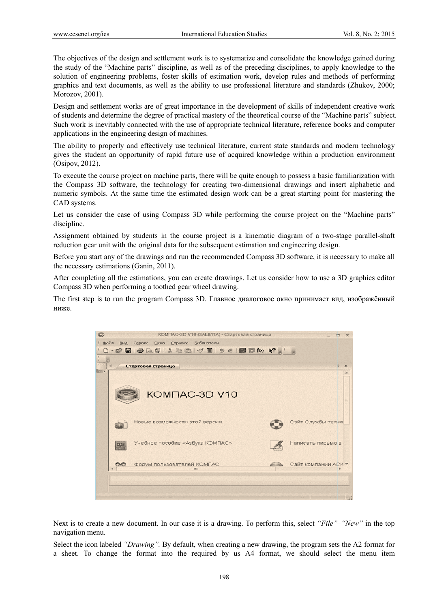The objectives of the design and settlement work is to systematize and consolidate the knowledge gained during the study of the "Machine parts" discipline, as well as of the preceding disciplines, to apply knowledge to the solution of engineering problems, foster skills of estimation work, develop rules and methods of performing graphics and text documents, as well as the ability to use professional literature and standards (Zhukov, 2000; Morozov, 2001).

Design and settlement works are of great importance in the development of skills of independent creative work of students and determine the degree of practical mastery of the theoretical course of the "Machine parts" subject. Such work is inevitably connected with the use of appropriate technical literature, reference books and computer applications in the engineering design of machines.

The ability to properly and effectively use technical literature, current state standards and modern technology gives the student an opportunity of rapid future use of acquired knowledge within a production environment (Osipov, 2012).

To execute the course project on machine parts, there will be quite enough to possess a basic familiarization with the Compass 3D software, the technology for creating two-dimensional drawings and insert alphabetic and numeric symbols. At the same time the estimated design work can be a great starting point for mastering the CAD systems.

Let us consider the case of using Compass 3D while performing the course project on the "Machine parts" discipline.

Assignment obtained by students in the course project is a kinematic diagram of a two-stage parallel-shaft reduction gear unit with the original data for the subsequent estimation and engineering design.

Before you start any of the drawings and run the recommended Compass 3D software, it is necessary to make all the necessary estimations (Ganin, 2011).

After completing all the estimations, you can create drawings. Let us consider how to use a 3D graphics editor Compass 3D when performing a toothed gear wheel drawing.

The first step is to run the program Compass 3D. Главное диалоговое окно принимает вид, изображённый ниже.



Next is to create a new document. In our case it is a drawing. To perform this, select "File"-"New" in the top navigation menu.

Select the icon labeled "Drawing". By default, when creating a new drawing, the program sets the A2 format for a sheet. To change the format into the required by us A4 format, we should select the menu item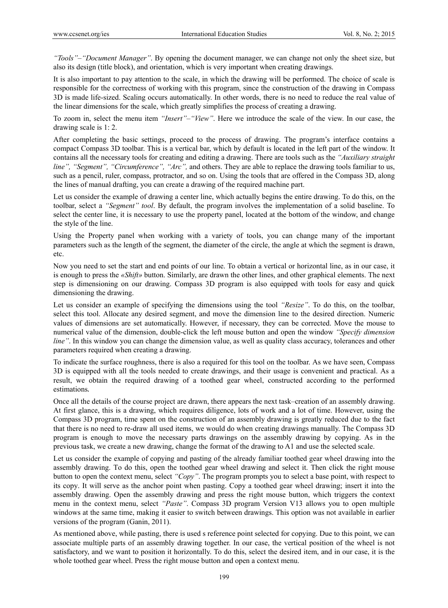*"Tools"–"Document Manager"*. By opening the document manager, we can change not only the sheet size, but also its design (title block), and orientation, which is very important when creating drawings.

It is also important to pay attention to the scale, in which the drawing will be performed. The choice of scale is responsible for the correctness of working with this program, since the construction of the drawing in Compass 3D is made life-sized. Scaling occurs automatically. In other words, there is no need to reduce the real value of the linear dimensions for the scale, which greatly simplifies the process of creating a drawing.

To zoom in, select the menu item *"Insert"–"View"*. Here we introduce the scale of the view. In our case, the drawing scale is 1: 2.

After completing the basic settings, proceed to the process of drawing. The program's interface contains a compact Compass 3D toolbar. This is a vertical bar, which by default is located in the left part of the window. It contains all the necessary tools for creating and editing a drawing. There are tools such as the *"Auxiliary straight line", "Segment", "Circumference", "Arc",* and others. They are able to replace the drawing tools familiar to us, such as a pencil, ruler, compass, protractor, and so on. Using the tools that are offered in the Compass 3D, along the lines of manual drafting, you can create a drawing of the required machine part.

Let us consider the example of drawing a center line, which actually begins the entire drawing. To do this, on the toolbar, select a *"Segment" tool*. By default, the program involves the implementation of a solid baseline. To select the center line, it is necessary to use the property panel, located at the bottom of the window, and change the style of the line.

Using the Property panel when working with a variety of tools, you can change many of the important parameters such as the length of the segment, the diameter of the circle, the angle at which the segment is drawn, etc.

Now you need to set the start and end points of our line. To obtain a vertical or horizontal line, as in our case, it is enough to press the *«Shift»* button. Similarly, are drawn the other lines, and other graphical elements. The next step is dimensioning on our drawing. Compass 3D program is also equipped with tools for easy and quick dimensioning the drawing.

Let us consider an example of specifying the dimensions using the tool *"Resize"*. To do this, on the toolbar, select this tool. Allocate any desired segment, and move the dimension line to the desired direction. Numeric values of dimensions are set automatically. However, if necessary, they can be corrected. Move the mouse to numerical value of the dimension, double-click the left mouse button and open the window *"Specify dimension line"*. In this window you can change the dimension value, as well as quality class accuracy, tolerances and other parameters required when creating a drawing.

To indicate the surface roughness, there is also a required for this tool on the toolbar. As we have seen, Compass 3D is equipped with all the tools needed to create drawings, and their usage is convenient and practical. As a result, we obtain the required drawing of a toothed gear wheel, constructed according to the performed estimations.

Once all the details of the course project are drawn, there appears the next task–creation of an assembly drawing. At first glance, this is a drawing, which requires diligence, lots of work and a lot of time. However, using the Compass 3D program, time spent on the construction of an assembly drawing is greatly reduced due to the fact that there is no need to re-draw all used items, we would do when creating drawings manually. The Compass 3D program is enough to move the necessary parts drawings on the assembly drawing by copying. As in the previous task, we create a new drawing, change the format of the drawing to A1 and use the selected scale.

Let us consider the example of copying and pasting of the already familiar toothed gear wheel drawing into the assembly drawing. To do this, open the toothed gear wheel drawing and select it. Then click the right mouse button to open the context menu, select *"Copy"*. The program prompts you to select a base point, with respect to its copy. It will serve as the anchor point when pasting. Copy a toothed gear wheel drawing; insert it into the assembly drawing. Open the assembly drawing and press the right mouse button, which triggers the context menu in the context menu, select *"Paste"*. Compass 3D program Version V13 allows you to open multiple windows at the same time, making it easier to switch between drawings. This option was not available in earlier versions of the program (Ganin, 2011).

As mentioned above, while pasting, there is used s reference point selected for copying. Due to this point, we can associate multiple parts of an assembly drawing together. In our case, the vertical position of the wheel is not satisfactory, and we want to position it horizontally. To do this, select the desired item, and in our case, it is the whole toothed gear wheel. Press the right mouse button and open a context menu.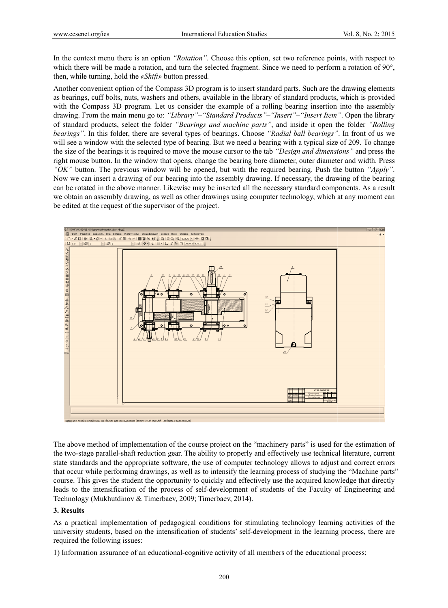In the context menu there is an option "Rotation". Choose this option, set two reference points, with respect to which there will be made a rotation, and turn the selected fragment. Since we need to perform a rotation of 90°, then, while turning, hold the «*Shift*» button pressed.

Another convenient option of the Compass 3D program is to insert standard parts. Such are the drawing elements as bearings, cuff bolts, nuts, washers and others, available in the library of standard products, which is provided with the Compass 3D program. Let us consider the example of a rolling bearing insertion into the assembly drawing. From the main menu go to: "Library"-"Standard Products"-"Insert"-"Insert Item". Open the library of standard products, select the folder "Bearings and machine parts", and inside it open the folder "Rolling" bearings". In this folder, there are several types of bearings. Choose "Radial ball bearings". In front of us we will see a window with the selected type of bearing. But we need a bearing with a typical size of 209. To change the size of the bearings it is required to move the mouse cursor to the tab "Design and dimensions" and press the right mouse button. In the window that opens, change the bearing bore diameter, outer diameter and width. Press "OK" button. The previous window will be opened, but with the required bearing. Push the button "Apply". Now we can insert a drawing of our bearing into the assembly drawing. If necessary, the drawing of the bearing can be rotated in the above manner. Likewise may be inserted all the necessary standard components. As a result we obtain an assembly drawing, as well as other drawings using computer technology, which at any moment can be edited at the request of the supervisor of the project.



The above method of implementation of the course project on the "machinery parts" is used for the estimation of the two-stage parallel-shaft reduction gear. The ability to properly and effectively use technical literature, current state standards and the appropriate software, the use of computer technology allows to adjust and correct errors that occur while performing drawings, as well as to intensify the learning process of studying the "Machine parts" course. This gives the student the opportunity to quickly and effectively use the acquired knowledge that directly leads to the intensification of the process of self-development of students of the Faculty of Engineering and Technology (Mukhutdinov & Timerbaev, 2009; Timerbaev, 2014).

### 3. Results

As a practical implementation of pedagogical conditions for stimulating technology learning activities of the university students, based on the intensification of students' self-development in the learning process, there are required the following issues:

1) Information assurance of an educational-cognitive activity of all members of the educational process;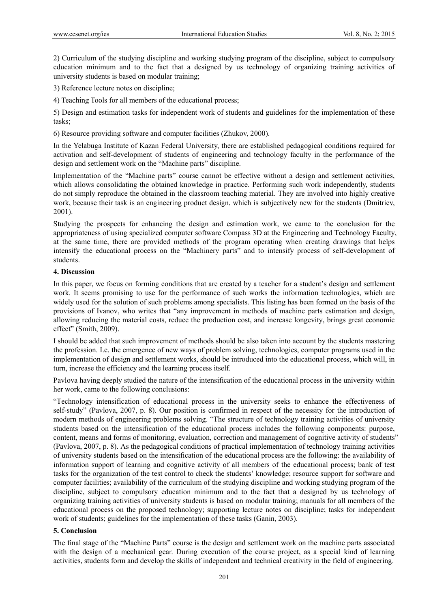2) Curriculum of the studying discipline and working studying program of the discipline, subject to compulsory education minimum and to the fact that a designed by us technology of organizing training activities of university students is based on modular training;

3) Reference lecture notes on discipline;

4) Teaching Tools for all members of the educational process;

5) Design and estimation tasks for independent work of students and guidelines for the implementation of these tasks;

6) Resource providing software and computer facilities (Zhukov, 2000).

In the Yelabuga Institute of Kazan Federal University, there are established pedagogical conditions required for activation and self-development of students of engineering and technology faculty in the performance of the design and settlement work on the "Machine parts" discipline.

Implementation of the "Machine parts" course cannot be effective without a design and settlement activities, which allows consolidating the obtained knowledge in practice. Performing such work independently, students do not simply reproduce the obtained in the classroom teaching material. They are involved into highly creative work, because their task is an engineering product design, which is subjectively new for the students (Dmitriev, 2001).

Studying the prospects for enhancing the design and estimation work, we came to the conclusion for the appropriateness of using specialized computer software Compass 3D at the Engineering and Technology Faculty, at the same time, there are provided methods of the program operating when creating drawings that helps intensify the educational process on the "Machinery parts" and to intensify process of self-development of students.

### **4. Discussion**

In this paper, we focus on forming conditions that are created by a teacher for a student's design and settlement work. It seems promising to use for the performance of such works the information technologies, which are widely used for the solution of such problems among specialists. This listing has been formed on the basis of the provisions of Ivanov, who writes that "any improvement in methods of machine parts estimation and design, allowing reducing the material costs, reduce the production cost, and increase longevity, brings great economic effect" (Smith, 2009).

I should be added that such improvement of methods should be also taken into account by the students mastering the profession. I.e. the emergence of new ways of problem solving, technologies, computer programs used in the implementation of design and settlement works, should be introduced into the educational process, which will, in turn, increase the efficiency and the learning process itself.

Pavlova having deeply studied the nature of the intensification of the educational process in the university within her work, came to the following conclusions:

"Technology intensification of educational process in the university seeks to enhance the effectiveness of self-study" (Pavlova, 2007, p. 8). Our position is confirmed in respect of the necessity for the introduction of modern methods of engineering problems solving. "The structure of technology training activities of university students based on the intensification of the educational process includes the following components: purpose, content, means and forms of monitoring, evaluation, correction and management of cognitive activity of students" (Pavlova, 2007, p. 8). As the pedagogical conditions of practical implementation of technology training activities of university students based on the intensification of the educational process are the following: the availability of information support of learning and cognitive activity of all members of the educational process; bank of test tasks for the organization of the test control to check the students' knowledge; resource support for software and computer facilities; availability of the curriculum of the studying discipline and working studying program of the discipline, subject to compulsory education minimum and to the fact that a designed by us technology of organizing training activities of university students is based on modular training; manuals for all members of the educational process on the proposed technology; supporting lecture notes on discipline; tasks for independent work of students; guidelines for the implementation of these tasks (Ganin, 2003).

### **5. Conclusion**

The final stage of the "Machine Parts" course is the design and settlement work on the machine parts associated with the design of a mechanical gear. During execution of the course project, as a special kind of learning activities, students form and develop the skills of independent and technical creativity in the field of engineering.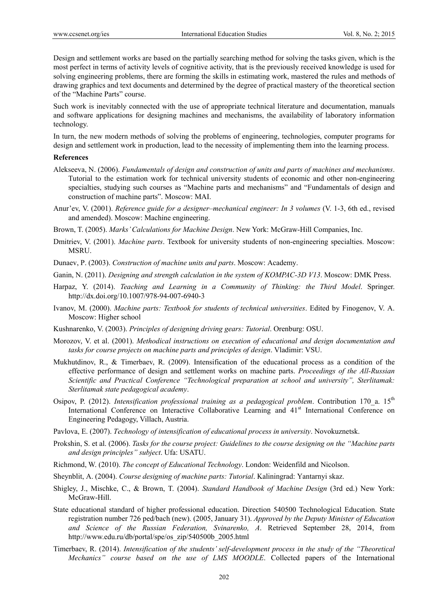Design and settlement works are based on the partially searching method for solving the tasks given, which is the most perfect in terms of activity levels of cognitive activity, that is the previously received knowledge is used for solving engineering problems, there are forming the skills in estimating work, mastered the rules and methods of drawing graphics and text documents and determined by the degree of practical mastery of the theoretical section of the "Machine Parts" course.

Such work is inevitably connected with the use of appropriate technical literature and documentation, manuals and software applications for designing machines and mechanisms, the availability of laboratory information technology.

In turn, the new modern methods of solving the problems of engineering, technologies, computer programs for design and settlement work in production, lead to the necessity of implementing them into the learning process.

#### **References**

- Alekseeva, N. (2006). *Fundamentals of design and construction of units and parts of machines and mechanisms*. Tutorial to the estimation work for technical university students of economic and other non-engineering specialties, studying such courses as "Machine parts and mechanisms" and "Fundamentals of design and construction of machine parts". Moscow: MAI.
- Anur'ev, V. (2001). *Reference guide for a designer–mechanical engineer: In 3 volumes* (V. 1-3, 6th ed., revised and amended). Moscow: Machine engineering.
- Brown, T. (2005). *Marks' Calculations for Machine Design*. New York: McGraw-Hill Companies, Inc.
- Dmitriev, V. (2001). *Machine parts*. Textbook for university students of non-engineering specialties. Moscow: MSRU.
- Dunaev, P. (2003). *Construction of machine units and parts*. Moscow: Academy.
- Ganin, N. (2011). *Designing and strength calculation in the system of KOMPAC-3D V13*. Moscow: DMK Press.
- Harpaz, Y. (2014). *Teaching and Learning in a Community of Thinking: the Third Model*. Springer. http://dx.doi.org/10.1007/978-94-007-6940-3
- Ivanov, M. (2000). *Machine parts: Textbook for students of technical universities*. Edited by Finogenov, V. A. Moscow: Higher school
- Kushnarenko, V. (2003). *Principles of designing driving gears: Tutorial*. Orenburg: OSU.
- Morozov, V. et al. (2001). *Methodical instructions on execution of educational and design documentation and tasks for course projects on machine parts and principles of design*. Vladimir: VSU.
- Mukhutdinov, R., & Timerbaev, R. (2009). Intensification of the educational process as a condition of the effective performance of design and settlement works on machine parts. *Proceedings of the All-Russian Scientific and Practical Conference "Technological preparation at school and university", Sterlitamak: Sterlitamak state pedagogical academy*.
- Osipov, P. (2012). *Intensification professional training as a pedagogical problem*. Contribution 170\_a. 15th International Conference on Interactive Collaborative Learning and 41<sup>st</sup> International Conference on Engineering Pedagogy, Villach, Austria.
- Pavlova, E. (2007). *Technology of intensification of educational process in university*. Novokuznetsk.
- Prokshin, S. et al. (2006). *Tasks for the course project: Guidelines to the course designing on the "Machine parts and design principles" subject*. Ufa: USATU.
- Richmond, W. (2010). *The concept of Educational Technology*. London: Weidenfild and Nicolson.
- Sheynblit, A. (2004). *Course designing of machine parts: Tutorial*. Kaliningrad: Yantarnyi skaz.
- Shigley, J., Mischke, C., & Brown, T. (2004). *Standard Handbook of Machine Design* (3rd ed.) New York: McGraw-Hill.
- State educational standard of higher professional education. Direction 540500 Technological Education. State registration number 726 ped/bach (new). (2005, January 31). *Approved by the Deputy Minister of Education and Science of the Russian Federation, Svinarenko, A*. Retrieved September 28, 2014, from http://www.edu.ru/db/portal/spe/os\_zip/540500b\_2005.html
- Timerbaev, R. (2014). *Intensification of the students' self-development process in the study of the "Theoretical Mechanics" course based on the use of LMS MOODLE*. Collected papers of the International